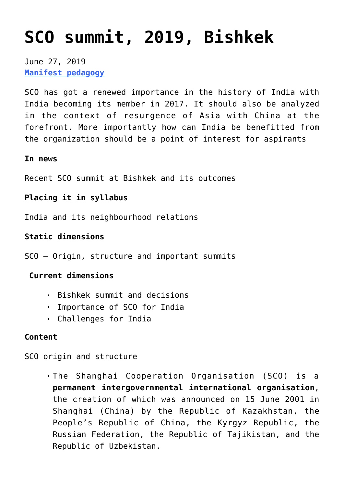# **[SCO summit, 2019, Bishkek](https://journalsofindia.com/sco-summit-2019-bishkek/)**

June 27, 2019 **[Manifest pedagogy](https://www.manifestias.com/2018/11/05/manifest-pedagogy-looking-beyond-the-issue/)**

SCO has got a renewed importance in the history of India with India becoming its member in 2017. It should also be analyzed in the context of resurgence of Asia with China at the forefront. More importantly how can India be benefitted from the organization should be a point of interest for aspirants

#### **In news**

Recent SCO summit at Bishkek and its outcomes

## **Placing it in syllabus**

India and its neighbourhood relations

## **Static dimensions**

SCO – Origin, structure and important summits

#### **Current dimensions**

- Bishkek summit and decisions
- Importance of SCO for India
- Challenges for India

#### **Content**

SCO origin and structure

The Shanghai Cooperation Organisation (SCO) is a **permanent intergovernmental international organisation**, the creation of which was announced on 15 June 2001 in Shanghai (China) by the Republic of Kazakhstan, the People's Republic of China, the Kyrgyz Republic, the Russian Federation, the Republic of Tajikistan, and the Republic of Uzbekistan.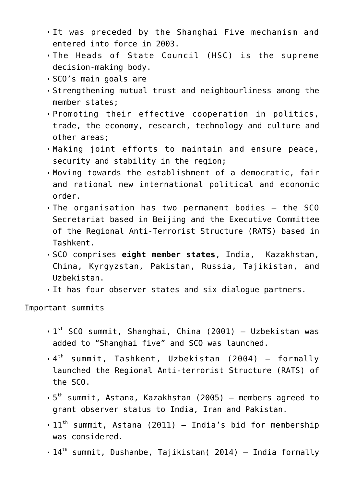- It was preceded by the Shanghai Five mechanism and entered into force in 2003.
- The Heads of State Council (HSC) is the supreme decision-making body.
- SCO's main goals are
- Strengthening mutual trust and neighbourliness among the member states;
- Promoting their effective cooperation in politics, trade, the economy, research, technology and culture and other areas;
- Making joint efforts to maintain and ensure peace, security and stability in the region;
- Moving towards the establishment of a democratic, fair and rational new international political and economic order.
- The organisation has two permanent bodies the SCO Secretariat based in Beijing and the Executive Committee of the Regional Anti-Terrorist Structure (RATS) based in Tashkent.
- SCO comprises **eight member states**, India, Kazakhstan, China, Kyrgyzstan, Pakistan, Russia, Tajikistan, and Uzbekistan.
- It has four observer states and six dialogue partners.

Important summits

- 1<sup>st</sup> SCO summit, Shanghai, China (2001) Uzbekistan was added to "Shanghai five" and SCO was launched.
- 4 th summit, Tashkent, Uzbekistan (2004) formally launched the Regional Anti-terrorist Structure (RATS) of the SCO.
- 5 th summit, Astana, Kazakhstan (2005) members agreed to grant observer status to India, Iran and Pakistan.
- $-11$ <sup>th</sup> summit, Astana (2011) India's bid for membership was considered.
- $\bullet$  14<sup>th</sup> summit, Dushanbe, Tajikistan( 2014) India formally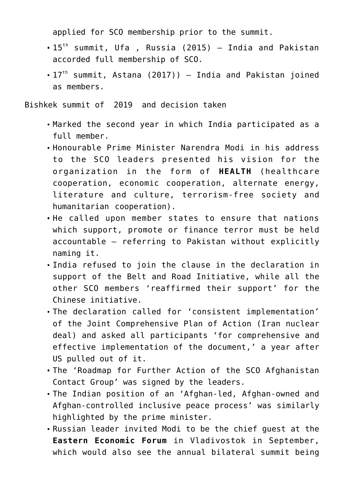applied for SCO membership prior to the summit.

- $-15$ <sup>th</sup> summit, Ufa , Russia (2015) India and Pakistan accorded full membership of SCO.
- $\bullet$  17<sup>th</sup> summit, Astana (2017)) India and Pakistan joined as members.

Bishkek summit of 2019 and decision taken

- Marked the second year in which India participated as a full member.
- Honourable Prime Minister Narendra Modi in his address to the SCO leaders presented his vision for the organization in the form of **HEALTH** (healthcare cooperation, economic cooperation, alternate energy, literature and culture, terrorism-free society and humanitarian cooperation).
- He called upon member states to ensure that nations which support, promote or finance terror must be held accountable – referring to Pakistan without explicitly naming it.
- India refused to join the clause in the declaration in support of the Belt and Road Initiative, while all the other SCO members 'reaffirmed their support' for the Chinese initiative.
- The declaration called for 'consistent implementation' of the Joint Comprehensive Plan of Action (Iran nuclear deal) and asked all participants 'for comprehensive and effective implementation of the document,' a year after US pulled out of it.
- The 'Roadmap for Further Action of the SCO Afghanistan Contact Group' was signed by the leaders.
- The Indian position of an 'Afghan-led, Afghan-owned and Afghan-controlled inclusive peace process' was similarly highlighted by the prime minister.
- Russian leader invited Modi to be the chief guest at the **Eastern Economic Forum** in Vladivostok in September, which would also see the annual bilateral summit being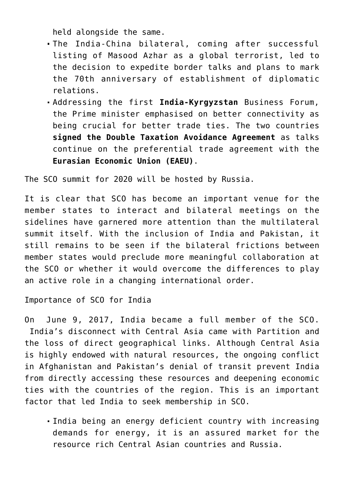held alongside the same.

- The India-China bilateral, coming after successful listing of Masood Azhar as a global terrorist, led to the decision to expedite border talks and plans to mark the 70th anniversary of establishment of diplomatic relations.
- Addressing the first **India-Kyrgyzstan** Business Forum, the Prime minister emphasised on better connectivity as being crucial for better trade ties. The two countries **signed the Double Taxation Avoidance Agreement** as talks continue on the preferential trade agreement with the **Eurasian Economic Union (EAEU)**.

The SCO summit for 2020 will be hosted by Russia.

It is clear that SCO has become an important venue for the member states to interact and bilateral meetings on the sidelines have garnered more attention than the multilateral summit itself. With the inclusion of India and Pakistan, it still remains to be seen if the bilateral frictions between member states would preclude more meaningful collaboration at the SCO or whether it would overcome the differences to play an active role in a changing international order.

Importance of SCO for India

On June 9, 2017, India became a full member of the SCO. India's disconnect with Central Asia came with Partition and the loss of direct geographical links. Although Central Asia is highly endowed with natural resources, the ongoing conflict in Afghanistan and Pakistan's denial of transit prevent India from directly accessing these resources and deepening economic ties with the countries of the region. This is an important factor that led India to seek membership in SCO.

India being an energy deficient country with increasing demands for energy, it is an assured market for the resource rich Central Asian countries and Russia.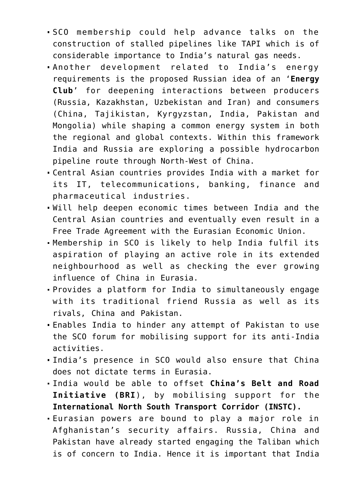- SCO membership could help advance talks on the construction of stalled pipelines like TAPI which is of considerable importance to India's natural gas needs.
- Another development related to India's energy requirements is the proposed Russian idea of an '**Energy Club**' for deepening interactions between producers (Russia, Kazakhstan, Uzbekistan and Iran) and consumers (China, Tajikistan, Kyrgyzstan, India, Pakistan and Mongolia) while shaping a common energy system in both the regional and global contexts. Within this framework India and Russia are exploring a possible hydrocarbon pipeline route through North-West of China.
- Central Asian countries provides India with a market for its IT, telecommunications, banking, finance and pharmaceutical industries.
- Will help deepen economic times between India and the Central Asian countries and eventually even result in a Free Trade Agreement with the Eurasian Economic Union.
- Membership in SCO is likely to help India fulfil its aspiration of playing an active role in its extended neighbourhood as well as checking the ever growing influence of China in Eurasia.
- Provides a platform for India to simultaneously engage with its traditional friend Russia as well as its rivals, China and Pakistan.
- Enables India to hinder any attempt of Pakistan to use the SCO forum for mobilising support for its anti-India activities.
- India's presence in SCO would also ensure that China does not dictate terms in Eurasia.
- India would be able to offset **China's Belt and Road Initiative (BRI**), by mobilising support for the **International North South Transport Corridor (INSTC).**
- Eurasian powers are bound to play a major role in Afghanistan's security affairs. Russia, China and Pakistan have already started engaging the Taliban which is of concern to India. Hence it is important that India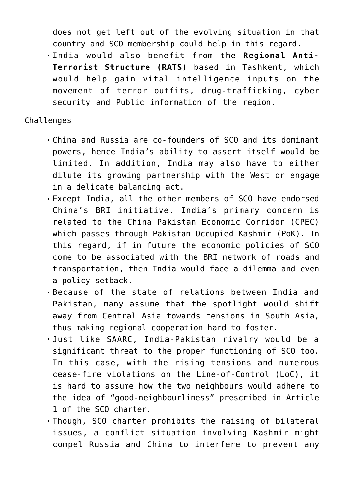does not get left out of the evolving situation in that country and SCO membership could help in this regard.

India would also benefit from the **Regional Anti-Terrorist Structure (RATS)** based in Tashkent, which would help gain vital intelligence inputs on the movement of terror outfits, drug-trafficking, cyber security and Public information of the region.

## Challenges

- China and Russia are co-founders of SCO and its dominant powers, hence India's ability to assert itself would be limited. In addition, India may also have to either dilute its growing partnership with the West or engage in a delicate balancing act.
- Except India, all the other members of SCO have endorsed China's BRI initiative. India's primary concern is related to the China Pakistan Economic Corridor (CPEC) which passes through Pakistan Occupied Kashmir (PoK). In this regard, if in future the economic policies of SCO come to be associated with the BRI network of roads and transportation, then India would face a dilemma and even a policy setback.
- Because of the state of relations between India and Pakistan, many assume that the spotlight would shift away from Central Asia towards tensions in South Asia, thus making regional cooperation hard to foster.
- Just like SAARC, India-Pakistan rivalry would be a significant threat to the proper functioning of SCO too. In this case, with the rising tensions and numerous cease-fire violations on the Line-of-Control (LoC), it is hard to assume how the two neighbours would adhere to the idea of "good-neighbourliness" prescribed in Article 1 of the SCO charter.
- Though, SCO charter prohibits the raising of bilateral issues, a conflict situation involving Kashmir might compel Russia and China to interfere to prevent any